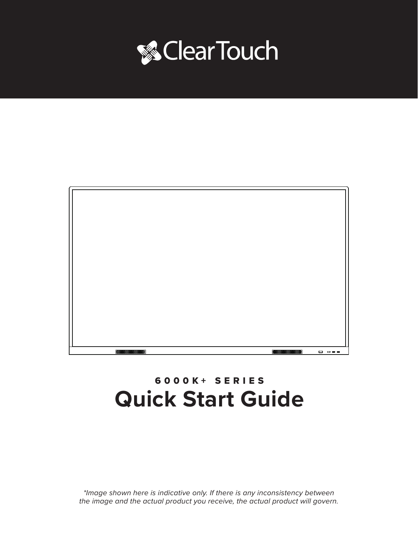



## 6000K+ SERIES **Quick Start Guide**

*\*Image shown here is indicative only. If there is any inconsistency between the image and the actual product you receive, the actual product will govern.*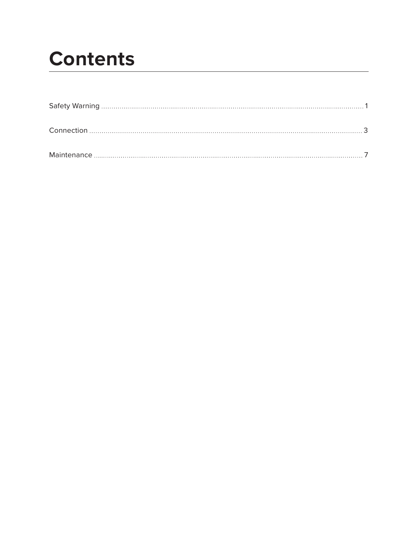# **Contents**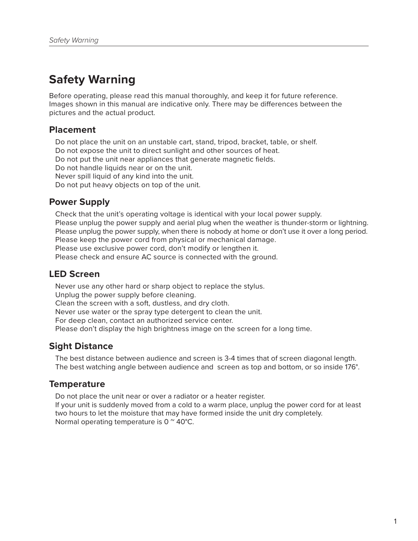## **Safety Warning**

Before operating, please read this manual thoroughly, and keep it for future reference. Images shown in this manual are indicative only. There may be differences between the pictures and the actual product.

### **Placement**

Do not place the unit on an unstable cart, stand, tripod, bracket, table, or shelf. Do not expose the unit to direct sunlight and other sources of heat. Do not put the unit near appliances that generate magnetic fields. Do not handle liquids near or on the unit. Never spill liquid of any kind into the unit. Do not put heavy objects on top of the unit.

## **Power Supply**

Check that the unit's operating voltage is identical with your local power supply. Please unplug the power supply and aerial plug when the weather is thunder-storm or lightning. Please unplug the power supply, when there is nobody at home or don't use it over a long period. Please keep the power cord from physical or mechanical damage. Please use exclusive power cord, don't modify or lengthen it. Please check and ensure AC source is connected with the ground.

## **LED Screen**

Never use any other hard or sharp object to replace the stylus. Unplug the power supply before cleaning. Clean the screen with a soft, dustless, and dry cloth. Never use water or the spray type detergent to clean the unit. For deep clean, contact an authorized service center. Please don't display the high brightness image on the screen for a long time.

## **Sight Distance**

The best distance between audience and screen is 3-4 times that of screen diagonal length. The best watching angle between audience and screen as top and bottom, or so inside 176°.

## **Temperature**

Do not place the unit near or over a radiator or a heater register.

If your unit is suddenly moved from a cold to a warm place, unplug the power cord for at least two hours to let the moisture that may have formed inside the unit dry completely. Normal operating temperature is  $0^{\circ}$  40°C.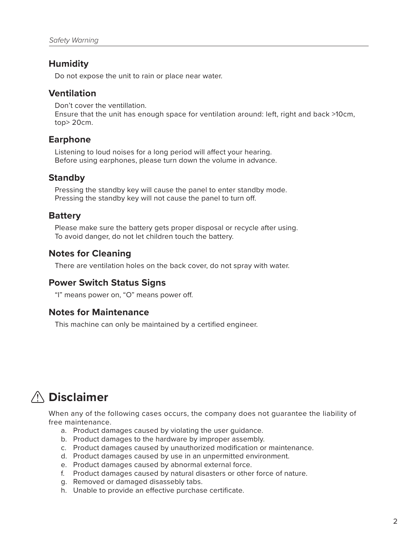## **Humidity**

Do not expose the unit to rain or place near water.

## **Ventilation**

Don't cover the ventillation. Ensure that the unit has enough space for ventilation around: left, right and back >10cm, top> 20cm.

## **Earphone**

Listening to loud noises for a long period will affect your hearing. Before using earphones, please turn down the volume in advance.

## **Standby**

Pressing the standby key will cause the panel to enter standby mode. Pressing the standby key will not cause the panel to turn off.

## **Battery**

Please make sure the battery gets proper disposal or recycle after using. To avoid danger, do not let children touch the battery.

## **Notes for Cleaning**

There are ventilation holes on the back cover, do not spray with water.

## **Power Switch Status Signs**

"I" means power on, "O" means power off.

### **Notes for Maintenance**

This machine can only be maintained by a certified engineer.

## **Disclaimer**

When any of the following cases occurs, the company does not guarantee the liability of free maintenance.

- a. Product damages caused by violating the user guidance.
- b. Product damages to the hardware by improper assembly.
- c. Product damages caused by unauthorized modification or maintenance.
- d. Product damages caused by use in an unpermitted environment.
- e. Product damages caused by abnormal external force.
- f. Product damages caused by natural disasters or other force of nature.
- g. Removed or damaged disassebly tabs.
- h. Unable to provide an effective purchase certificate.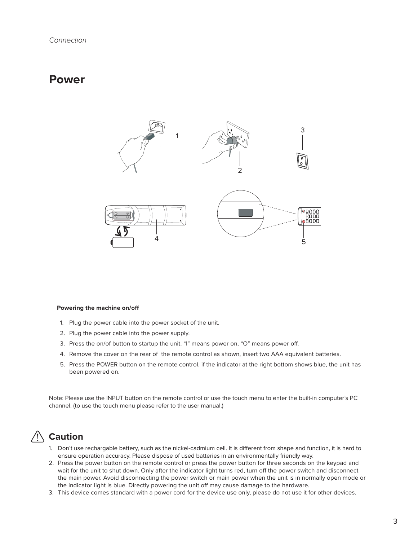## **Power**



#### **Powering the machine on/off**

- 1. Plug the power cable into the power socket of the unit.
- 2. Plug the power cable into the power supply.
- 3. Press the on/of button to startup the unit. "I" means power on, "O" means power off.
- 4. Remove the cover on the rear of the remote control as shown, insert two AAA equivalent batteries.
- 5. Press the POWER button on the remote control, if the indicator at the right bottom shows blue, the unit has been powered on.

Note: Please use the INPUT button on the remote control or use the touch menu to enter the built-in computer's PC channel. (to use the touch menu please refer to the user manual.)

## **Caution**

- 1. Don't use rechargable battery, such as the nickel-cadmium cell. It is different from shape and function, it is hard to ensure operation accuracy. Please dispose of used batteries in an environmentally friendly way.
- 2. Press the power button on the remote control or press the power button for three seconds on the keypad and wait for the unit to shut down. Only after the indicator light turns red, turn off the power switch and disconnect the main power. Avoid disconnecting the power switch or main power when the unit is in normally open mode or the indicator light is blue. Directly powering the unit off may cause damage to the hardware.
- 3. This device comes standard with a power cord for the device use only, please do not use it for other devices.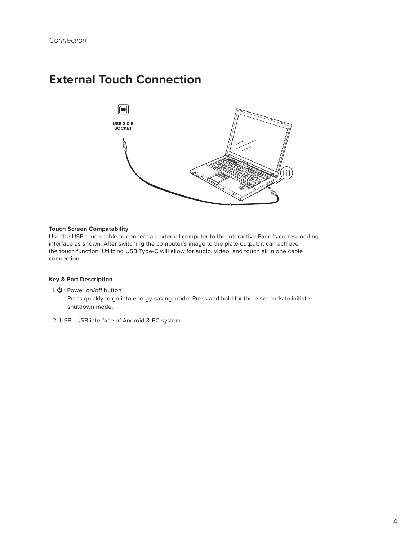## **External Touch Connection**



<sup>4</sup> <sup>5</sup>

#### **Touch Screen Compatability**

Use the USB touch cable to connect an external computer to the interactive Panel's corresponding interface as shown. After switching the computer's image to the plate output, it can achieve the touch function. Utilizing USB Type-C will allow for audio, video, and touch all in one cable connection.

#### **Key & Port Description**

1.  $\mathbf{\Theta}$  : Power on/off button

 Press quickly to go into energy-saving mode. Press and hold for three seconds to initiate shutdown mode.

2. USB : USB interface of Android & PC system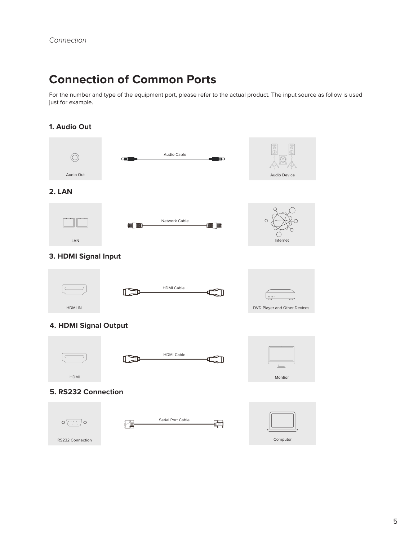## **Connection of Common Ports**

For the number and type of the equipment port, please refer to the actual product. The input source as follow is used just for example.

#### **1. Audio Out**

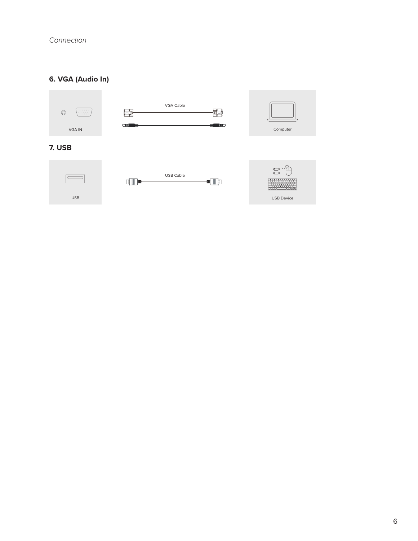### **6. VGA (Audio In)**

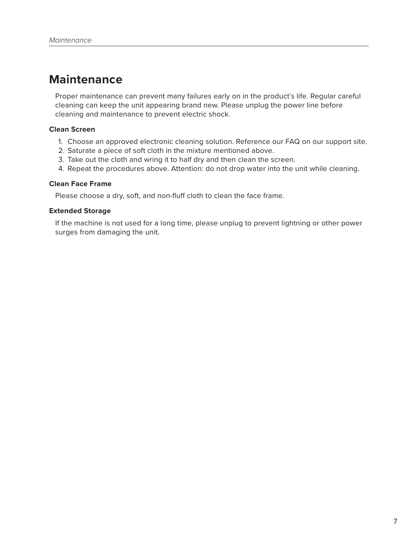## **Maintenance**

Proper maintenance can prevent many failures early on in the product's life. Regular careful cleaning can keep the unit appearing brand new. Please unplug the power line before cleaning and maintenance to prevent electric shock.

#### **Clean Screen**

- 1. Choose an approved electronic cleaning solution. Reference our FAQ on our support site.
- 2. Saturate a piece of soft cloth in the mixture mentioned above.
- 3. Take out the cloth and wring it to half dry and then clean the screen.
- 4. Repeat the procedures above. Attention: do not drop water into the unit while cleaning.

#### **Clean Face Frame**

Please choose a dry, soft, and non-fluff cloth to clean the face frame.

#### **Extended Storage**

If the machine is not used for a long time, please unplug to prevent lightning or other power surges from damaging the unit.